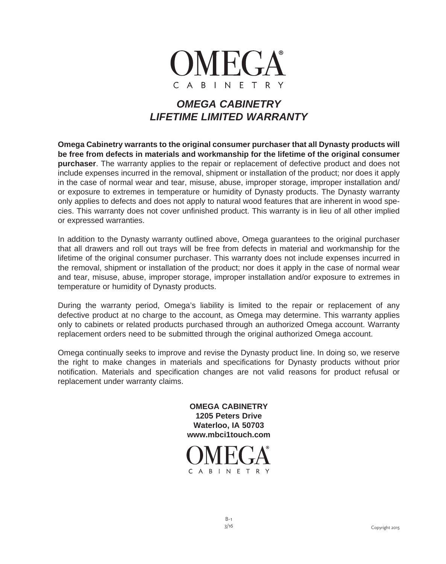

## *OMEGA CABINETRY LIFETIME LIMITED WARRANTY*

**Omega Cabinetry warrants to the original consumer purchaser that all Dynasty products will be free from defects in materials and workmanship for the lifetime of the original consumer purchaser**. The warranty applies to the repair or replacement of defective product and does not include expenses incurred in the removal, shipment or installation of the product; nor does it apply in the case of normal wear and tear, misuse, abuse, improper storage, improper installation and/ or exposure to extremes in temperature or humidity of Dynasty products. The Dynasty warranty only applies to defects and does not apply to natural wood features that are inherent in wood species. This warranty does not cover unfinished product. This warranty is in lieu of all other implied or expressed warranties.

In addition to the Dynasty warranty outlined above, Omega guarantees to the original purchaser that all drawers and roll out trays will be free from defects in material and workmanship for the lifetime of the original consumer purchaser. This warranty does not include expenses incurred in the removal, shipment or installation of the product; nor does it apply in the case of normal wear and tear, misuse, abuse, improper storage, improper installation and/or exposure to extremes in temperature or humidity of Dynasty products.

During the warranty period, Omega's liability is limited to the repair or replacement of any defective product at no charge to the account, as Omega may determine. This warranty applies only to cabinets or related products purchased through an authorized Omega account. Warranty replacement orders need to be submitted through the original authorized Omega account.

Omega continually seeks to improve and revise the Dynasty product line. In doing so, we reserve the right to make changes in materials and specifications for Dynasty products without prior notification. Materials and specification changes are not valid reasons for product refusal or replacement under warranty claims.

> **OMEGA CABINETRY 1205 Peters Drive Waterloo, IA 50703 www.mbci1touch.com**

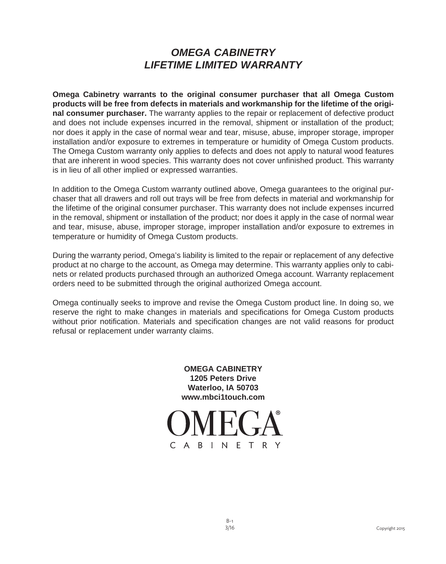## *OMEGA CABINETRY LIFETIME LIMITED WARRANTY*

**Omega Cabinetry warrants to the original consumer purchaser that all Omega Custom products will be free from defects in materials and workmanship for the lifetime of the original consumer purchaser.** The warranty applies to the repair or replacement of defective product and does not include expenses incurred in the removal, shipment or installation of the product; nor does it apply in the case of normal wear and tear, misuse, abuse, improper storage, improper installation and/or exposure to extremes in temperature or humidity of Omega Custom products. The Omega Custom warranty only applies to defects and does not apply to natural wood features that are inherent in wood species. This warranty does not cover unfinished product. This warranty is in lieu of all other implied or expressed warranties.

In addition to the Omega Custom warranty outlined above, Omega guarantees to the original purchaser that all drawers and roll out trays will be free from defects in material and workmanship for the lifetime of the original consumer purchaser. This warranty does not include expenses incurred in the removal, shipment or installation of the product; nor does it apply in the case of normal wear and tear, misuse, abuse, improper storage, improper installation and/or exposure to extremes in temperature or humidity of Omega Custom products.

During the warranty period, Omega's liability is limited to the repair or replacement of any defective product at no charge to the account, as Omega may determine. This warranty applies only to cabinets or related products purchased through an authorized Omega account. Warranty replacement orders need to be submitted through the original authorized Omega account.

Omega continually seeks to improve and revise the Omega Custom product line. In doing so, we reserve the right to make changes in materials and specifications for Omega Custom products without prior notification. Materials and specification changes are not valid reasons for product refusal or replacement under warranty claims.

> **OMEGA CABINETRY 1205 Peters Drive Waterloo, IA 50703 www.mbci1touch.com**

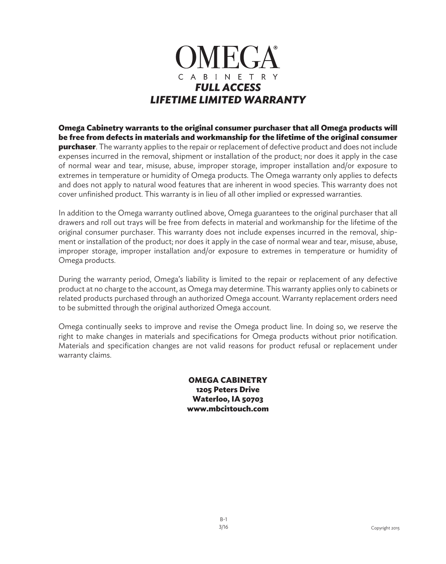

**Omega Cabinetry warrants to the original consumer purchaser that all Omega products will be free from defects in materials and workmanship for the lifetime of the original consumer purchaser**. The warranty applies to the repair or replacement of defective product and does not include expenses incurred in the removal, shipment or installation of the product; nor does it apply in the case of normal wear and tear, misuse, abuse, improper storage, improper installation and/or exposure to extremes in temperature or humidity of Omega products. The Omega warranty only applies to defects and does not apply to natural wood features that are inherent in wood species. This warranty does not cover unfinished product. This warranty is in lieu of all other implied or expressed warranties.

In addition to the Omega warranty outlined above, Omega guarantees to the original purchaser that all drawers and roll out trays will be free from defects in material and workmanship for the lifetime of the original consumer purchaser. This warranty does not include expenses incurred in the removal, shipment or installation of the product; nor does it apply in the case of normal wear and tear, misuse, abuse, improper storage, improper installation and/or exposure to extremes in temperature or humidity of Omega products.

During the warranty period, Omega's liability is limited to the repair or replacement of any defective product at no charge to the account, as Omega may determine. This warranty applies only to cabinets or related products purchased through an authorized Omega account. Warranty replacement orders need to be submitted through the original authorized Omega account.

Omega continually seeks to improve and revise the Omega product line. In doing so, we reserve the right to make changes in materials and specifications for Omega products without prior notification. Materials and specification changes are not valid reasons for product refusal or replacement under warranty claims.

> **OMEGA CABINETRY 1205 Peters Drive Waterloo, IA 50703 www.mbci1touch.com**